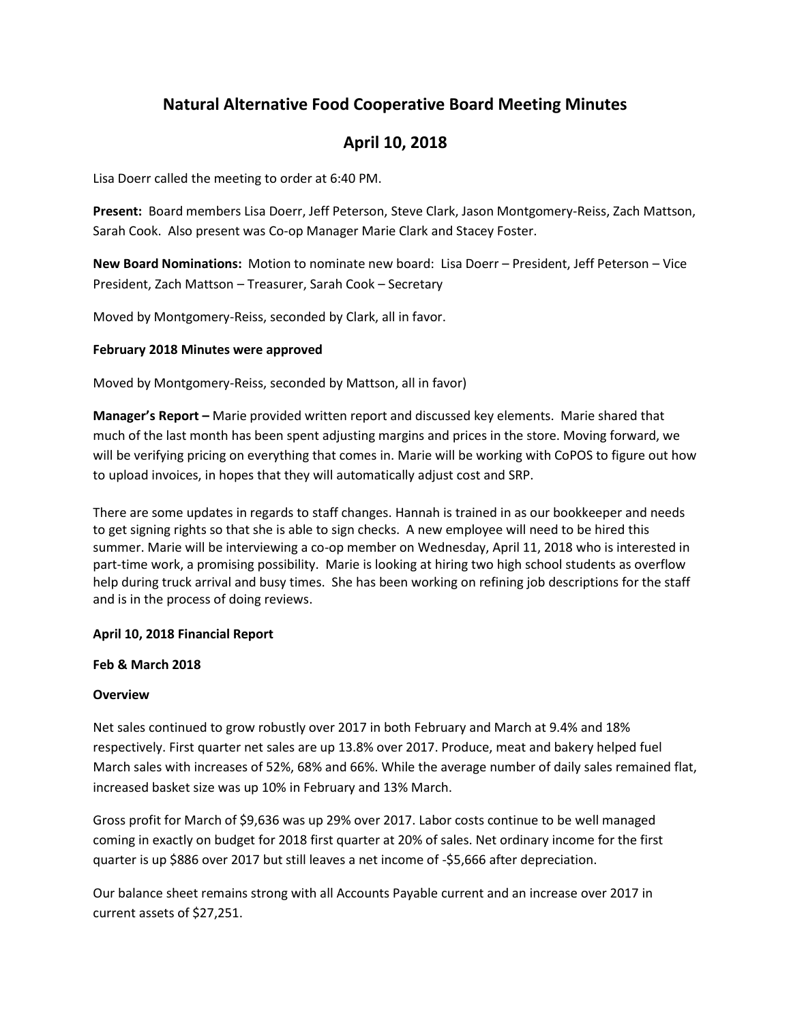# **Natural Alternative Food Cooperative Board Meeting Minutes**

# **April 10, 2018**

Lisa Doerr called the meeting to order at 6:40 PM.

**Present:** Board members Lisa Doerr, Jeff Peterson, Steve Clark, Jason Montgomery-Reiss, Zach Mattson, Sarah Cook. Also present was Co-op Manager Marie Clark and Stacey Foster.

**New Board Nominations:** Motion to nominate new board: Lisa Doerr – President, Jeff Peterson – Vice President, Zach Mattson – Treasurer, Sarah Cook – Secretary

Moved by Montgomery-Reiss, seconded by Clark, all in favor.

## **February 2018 Minutes were approved**

Moved by Montgomery-Reiss, seconded by Mattson, all in favor)

**Manager's Report –** Marie provided written report and discussed key elements. Marie shared that much of the last month has been spent adjusting margins and prices in the store. Moving forward, we will be verifying pricing on everything that comes in. Marie will be working with CoPOS to figure out how to upload invoices, in hopes that they will automatically adjust cost and SRP.

There are some updates in regards to staff changes. Hannah is trained in as our bookkeeper and needs to get signing rights so that she is able to sign checks. A new employee will need to be hired this summer. Marie will be interviewing a co-op member on Wednesday, April 11, 2018 who is interested in part-time work, a promising possibility. Marie is looking at hiring two high school students as overflow help during truck arrival and busy times. She has been working on refining job descriptions for the staff and is in the process of doing reviews.

## **April 10, 2018 Financial Report**

## **Feb & March 2018**

## **Overview**

Net sales continued to grow robustly over 2017 in both February and March at 9.4% and 18% respectively. First quarter net sales are up 13.8% over 2017. Produce, meat and bakery helped fuel March sales with increases of 52%, 68% and 66%. While the average number of daily sales remained flat, increased basket size was up 10% in February and 13% March.

Gross profit for March of \$9,636 was up 29% over 2017. Labor costs continue to be well managed coming in exactly on budget for 2018 first quarter at 20% of sales. Net ordinary income for the first quarter is up \$886 over 2017 but still leaves a net income of -\$5,666 after depreciation.

Our balance sheet remains strong with all Accounts Payable current and an increase over 2017 in current assets of \$27,251.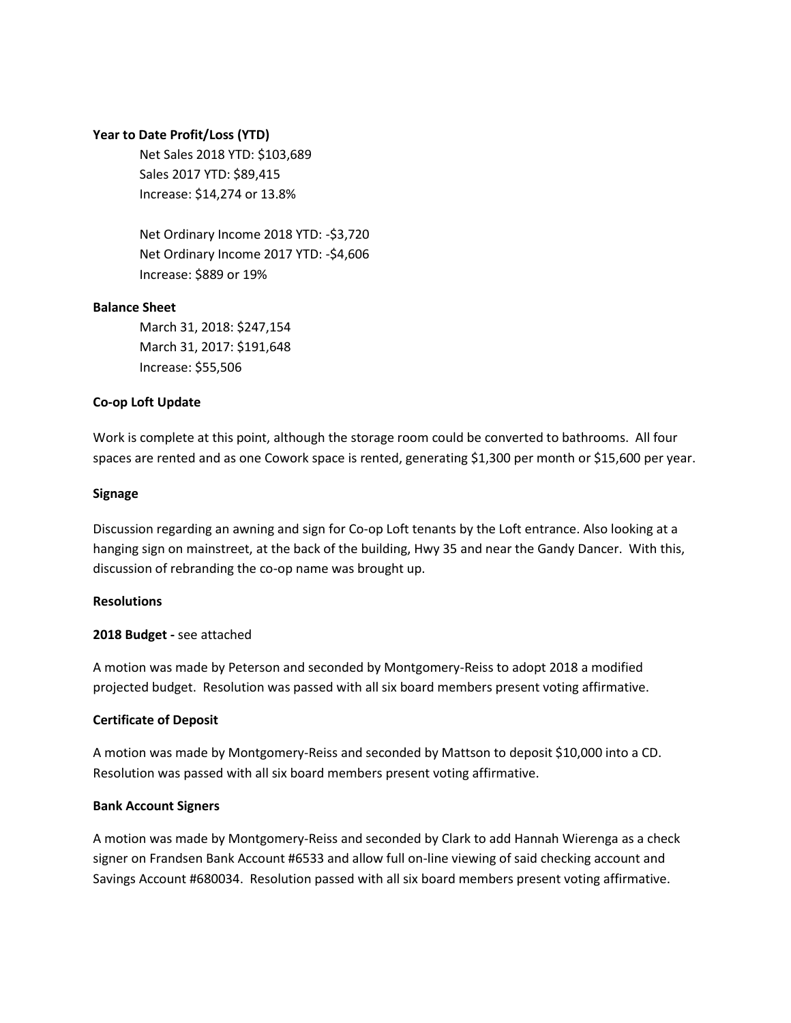#### **Year to Date Profit/Loss (YTD)**

Net Sales 2018 YTD: \$103,689 Sales 2017 YTD: \$89,415 Increase: \$14,274 or 13.8%

Net Ordinary Income 2018 YTD: -\$3,720 Net Ordinary Income 2017 YTD: -\$4,606 Increase: \$889 or 19%

#### **Balance Sheet**

March 31, 2018: \$247,154 March 31, 2017: \$191,648 Increase: \$55,506

## **Co-op Loft Update**

Work is complete at this point, although the storage room could be converted to bathrooms. All four spaces are rented and as one Cowork space is rented, generating \$1,300 per month or \$15,600 per year.

#### **Signage**

Discussion regarding an awning and sign for Co-op Loft tenants by the Loft entrance. Also looking at a hanging sign on mainstreet, at the back of the building, Hwy 35 and near the Gandy Dancer. With this, discussion of rebranding the co-op name was brought up.

#### **Resolutions**

## **2018 Budget -** see attached

A motion was made by Peterson and seconded by Montgomery-Reiss to adopt 2018 a modified projected budget. Resolution was passed with all six board members present voting affirmative.

## **Certificate of Deposit**

A motion was made by Montgomery-Reiss and seconded by Mattson to deposit \$10,000 into a CD. Resolution was passed with all six board members present voting affirmative.

## **Bank Account Signers**

A motion was made by Montgomery-Reiss and seconded by Clark to add Hannah Wierenga as a check signer on Frandsen Bank Account #6533 and allow full on-line viewing of said checking account and Savings Account #680034. Resolution passed with all six board members present voting affirmative.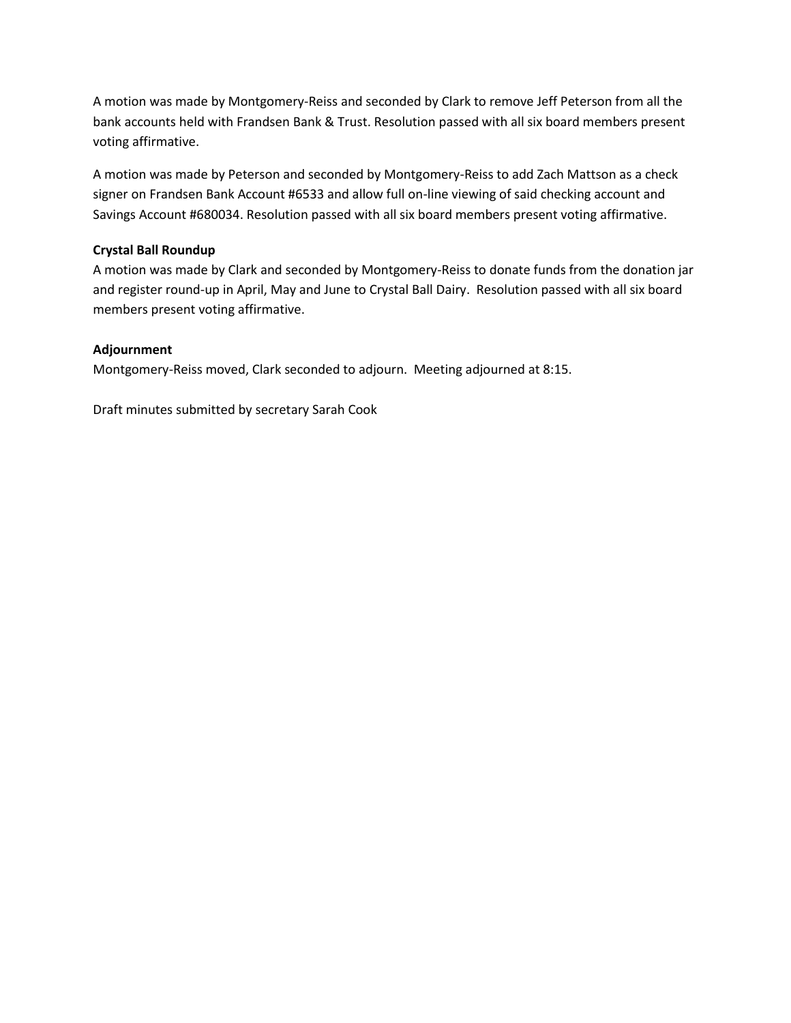A motion was made by Montgomery-Reiss and seconded by Clark to remove Jeff Peterson from all the bank accounts held with Frandsen Bank & Trust. Resolution passed with all six board members present voting affirmative.

A motion was made by Peterson and seconded by Montgomery-Reiss to add Zach Mattson as a check signer on Frandsen Bank Account #6533 and allow full on-line viewing of said checking account and Savings Account #680034. Resolution passed with all six board members present voting affirmative.

# **Crystal Ball Roundup**

A motion was made by Clark and seconded by Montgomery-Reiss to donate funds from the donation jar and register round-up in April, May and June to Crystal Ball Dairy. Resolution passed with all six board members present voting affirmative.

# **Adjournment**

Montgomery-Reiss moved, Clark seconded to adjourn. Meeting adjourned at 8:15.

Draft minutes submitted by secretary Sarah Cook